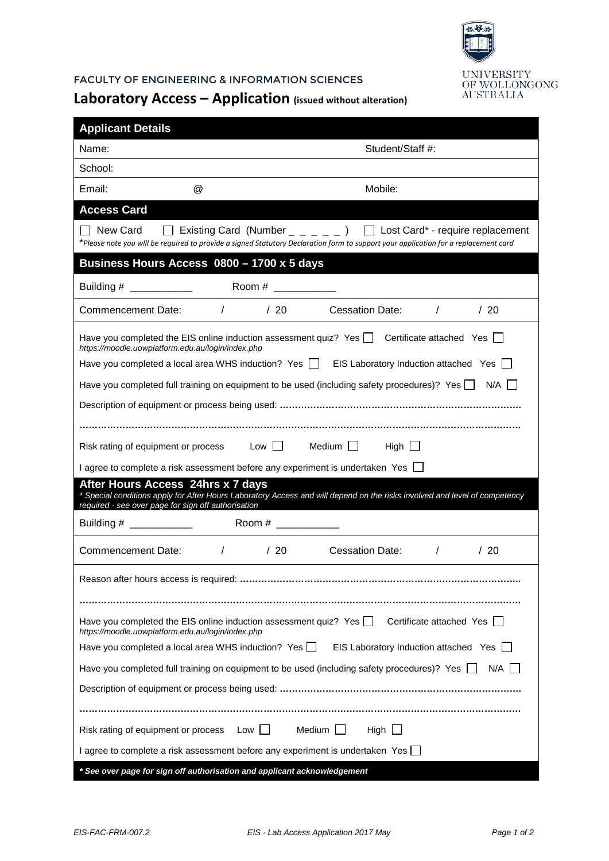

## FACULTY OF ENGINEERING & INFORMATION SCIENCES

## **Laboratory Access – Application (issued without alteration)**

| <b>Applicant Details</b>                                                                                                                            |     |                                                                                                                                                                                                                                  |  |  |
|-----------------------------------------------------------------------------------------------------------------------------------------------------|-----|----------------------------------------------------------------------------------------------------------------------------------------------------------------------------------------------------------------------------------|--|--|
| Name:                                                                                                                                               |     | Student/Staff #:                                                                                                                                                                                                                 |  |  |
| School:                                                                                                                                             |     |                                                                                                                                                                                                                                  |  |  |
| $^{\circledR}$<br>Email:                                                                                                                            |     | Mobile:                                                                                                                                                                                                                          |  |  |
| <b>Access Card</b>                                                                                                                                  |     |                                                                                                                                                                                                                                  |  |  |
| l New Card                                                                                                                                          |     | $\Box$ Existing Card (Number $\Box$ $\Box$ $\Box$ $\Box$ Lost Card* - require replacement<br>*Please note you wlll be required to provide a signed Statutory Declaration form to support your application for a replacement card |  |  |
| Business Hours Access 0800 - 1700 x 5 days                                                                                                          |     |                                                                                                                                                                                                                                  |  |  |
|                                                                                                                                                     |     |                                                                                                                                                                                                                                  |  |  |
| Commencement Date:                                                                                                                                  |     | / / 20 Cessation Date: /<br>/20                                                                                                                                                                                                  |  |  |
| https://moodle.uowplatform.edu.au/login/index.php                                                                                                   |     | Have you completed the EIS online induction assessment quiz? Yes $\Box$ Certificate attached Yes $\Box$                                                                                                                          |  |  |
|                                                                                                                                                     |     | Have you completed a local area WHS induction? Yes   EIS Laboratory Induction attached Yes                                                                                                                                       |  |  |
|                                                                                                                                                     |     | Have you completed full training on equipment to be used (including safety procedures)? Yes N/A                                                                                                                                  |  |  |
|                                                                                                                                                     |     |                                                                                                                                                                                                                                  |  |  |
|                                                                                                                                                     |     |                                                                                                                                                                                                                                  |  |  |
| Risk rating of equipment or process Low Nedium Intervalse Medium                                                                                    |     | High $\Box$                                                                                                                                                                                                                      |  |  |
| I agree to complete a risk assessment before any experiment is undertaken Yes □                                                                     |     |                                                                                                                                                                                                                                  |  |  |
| After Hours Access 24hrs x 7 days<br>required - see over page for sign off authorisation                                                            |     | * Special conditions apply for After Hours Laboratory Access and will depend on the risks involved and level of competency                                                                                                       |  |  |
|                                                                                                                                                     |     |                                                                                                                                                                                                                                  |  |  |
| Commencement Date: /                                                                                                                                | /20 | /20<br>Cessation Date:<br>$\sqrt{2}$                                                                                                                                                                                             |  |  |
| Reason after hours access is required:                                                                                                              |     |                                                                                                                                                                                                                                  |  |  |
|                                                                                                                                                     |     |                                                                                                                                                                                                                                  |  |  |
| Have you completed the EIS online induction assessment quiz? Yes<br>Certificate attached Yes [<br>https://moodle.uowplatform.edu.au/login/index.php |     |                                                                                                                                                                                                                                  |  |  |
| Have you completed a local area WHS induction? Yes<br>EIS Laboratory Induction attached Yes                                                         |     |                                                                                                                                                                                                                                  |  |  |
|                                                                                                                                                     |     | Have you completed full training on equipment to be used (including safety procedures)? Yes $\Box$<br>N/A I                                                                                                                      |  |  |
|                                                                                                                                                     |     |                                                                                                                                                                                                                                  |  |  |
|                                                                                                                                                     |     |                                                                                                                                                                                                                                  |  |  |
| Risk rating of equipment or process<br>$Low$    <br>Medium $\Box$<br>High $\Box$                                                                    |     |                                                                                                                                                                                                                                  |  |  |
| I agree to complete a risk assessment before any experiment is undertaken Yes                                                                       |     |                                                                                                                                                                                                                                  |  |  |
| * See over page for sign off authorisation and applicant acknowledgement                                                                            |     |                                                                                                                                                                                                                                  |  |  |